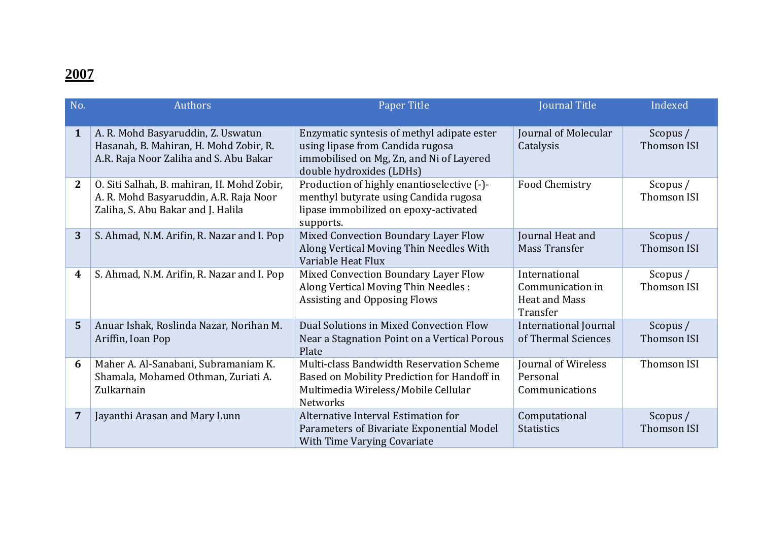## **2007**

| No.            | Authors                                                                                                                    | Paper Title                                                                                                                                            | Journal Title                                                         | Indexed                        |
|----------------|----------------------------------------------------------------------------------------------------------------------------|--------------------------------------------------------------------------------------------------------------------------------------------------------|-----------------------------------------------------------------------|--------------------------------|
| $\mathbf{1}$   | A. R. Mohd Basyaruddin, Z. Uswatun<br>Hasanah, B. Mahiran, H. Mohd Zobir, R.<br>A.R. Raja Noor Zaliha and S. Abu Bakar     | Enzymatic syntesis of methyl adipate ester<br>using lipase from Candida rugosa<br>immobilised on Mg, Zn, and Ni of Layered<br>double hydroxides (LDHs) | Journal of Molecular<br>Catalysis                                     | Scopus $/$<br>Thomson ISI      |
| $\overline{2}$ | O. Siti Salhah, B. mahiran, H. Mohd Zobir,<br>A. R. Mohd Basyaruddin, A.R. Raja Noor<br>Zaliha, S. Abu Bakar and J. Halila | Production of highly enantioselective (-)-<br>menthyl butyrate using Candida rugosa<br>lipase immobilized on epoxy-activated<br>supports.              | Food Chemistry                                                        | Scopus /<br>Thomson ISI        |
| 3              | S. Ahmad, N.M. Arifin, R. Nazar and I. Pop                                                                                 | Mixed Convection Boundary Layer Flow<br>Along Vertical Moving Thin Needles With<br>Variable Heat Flux                                                  | Journal Heat and<br><b>Mass Transfer</b>                              | Scopus /<br>Thomson ISI        |
| 4              | S. Ahmad, N.M. Arifin, R. Nazar and I. Pop                                                                                 | Mixed Convection Boundary Layer Flow<br>Along Vertical Moving Thin Needles :<br><b>Assisting and Opposing Flows</b>                                    | International<br>Communication in<br><b>Heat and Mass</b><br>Transfer | Scopus /<br>Thomson ISI        |
| 5              | Anuar Ishak, Roslinda Nazar, Norihan M.<br>Ariffin, Ioan Pop                                                               | Dual Solutions in Mixed Convection Flow<br>Near a Stagnation Point on a Vertical Porous<br>Plate                                                       | <b>International Journal</b><br>of Thermal Sciences                   | Scopus /<br><b>Thomson ISI</b> |
| 6              | Maher A. Al-Sanabani, Subramaniam K.<br>Shamala, Mohamed Othman, Zuriati A.<br>Zulkarnain                                  | Multi-class Bandwidth Reservation Scheme<br>Based on Mobility Prediction for Handoff in<br>Multimedia Wireless/Mobile Cellular<br>Networks             | Journal of Wireless<br>Personal<br>Communications                     | Thomson ISI                    |
| 7              | Jayanthi Arasan and Mary Lunn                                                                                              | Alternative Interval Estimation for<br>Parameters of Bivariate Exponential Model<br>With Time Varying Covariate                                        | Computational<br><b>Statistics</b>                                    | Scopus /<br><b>Thomson ISI</b> |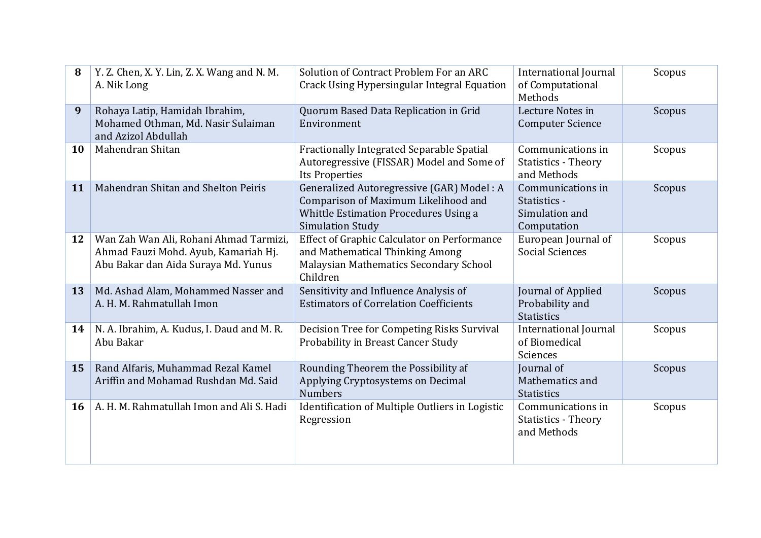| 8         | Y. Z. Chen, X. Y. Lin, Z. X. Wang and N. M.<br>A. Nik Long                                                            | Solution of Contract Problem For an ARC<br>Crack Using Hypersingular Integral Equation                                                                | <b>International Journal</b><br>of Computational<br>Methods        | Scopus |
|-----------|-----------------------------------------------------------------------------------------------------------------------|-------------------------------------------------------------------------------------------------------------------------------------------------------|--------------------------------------------------------------------|--------|
| 9         | Rohaya Latip, Hamidah Ibrahim,<br>Mohamed Othman, Md. Nasir Sulaiman<br>and Azizol Abdullah                           | Quorum Based Data Replication in Grid<br>Environment                                                                                                  | Lecture Notes in<br><b>Computer Science</b>                        | Scopus |
| <b>10</b> | Mahendran Shitan                                                                                                      | Fractionally Integrated Separable Spatial<br>Autoregressive (FISSAR) Model and Some of<br>Its Properties                                              | Communications in<br><b>Statistics - Theory</b><br>and Methods     | Scopus |
| 11        | Mahendran Shitan and Shelton Peiris                                                                                   | Generalized Autoregressive (GAR) Model: A<br>Comparison of Maximum Likelihood and<br>Whittle Estimation Procedures Using a<br><b>Simulation Study</b> | Communications in<br>Statistics -<br>Simulation and<br>Computation | Scopus |
| 12        | Wan Zah Wan Ali, Rohani Ahmad Tarmizi,<br>Ahmad Fauzi Mohd. Ayub, Kamariah Hj.<br>Abu Bakar dan Aida Suraya Md. Yunus | Effect of Graphic Calculator on Performance<br>and Mathematical Thinking Among<br>Malaysian Mathematics Secondary School<br>Children                  | European Journal of<br><b>Social Sciences</b>                      | Scopus |
| 13        | Md. Ashad Alam, Mohammed Nasser and<br>A. H. M. Rahmatullah Imon                                                      | Sensitivity and Influence Analysis of<br><b>Estimators of Correlation Coefficients</b>                                                                | Journal of Applied<br>Probability and<br><b>Statistics</b>         | Scopus |
| 14        | N. A. Ibrahim, A. Kudus, I. Daud and M. R.<br>Abu Bakar                                                               | Decision Tree for Competing Risks Survival<br>Probability in Breast Cancer Study                                                                      | International Journal<br>of Biomedical<br>Sciences                 | Scopus |
| 15        | Rand Alfaris, Muhammad Rezal Kamel<br>Ariffin and Mohamad Rushdan Md. Said                                            | Rounding Theorem the Possibility af<br>Applying Cryptosystems on Decimal<br><b>Numbers</b>                                                            | Journal of<br>Mathematics and<br><b>Statistics</b>                 | Scopus |
| 16        | A. H. M. Rahmatullah Imon and Ali S. Hadi                                                                             | Identification of Multiple Outliers in Logistic<br>Regression                                                                                         | Communications in<br><b>Statistics - Theory</b><br>and Methods     | Scopus |